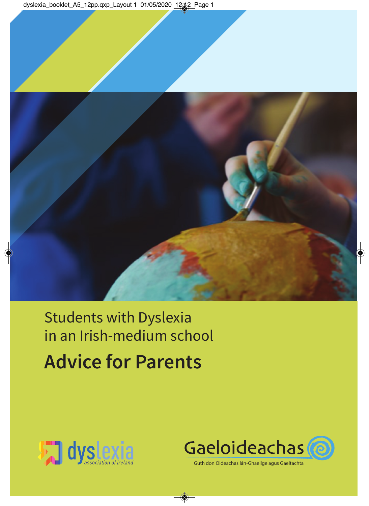

Students with Dyslexia in an Irish-medium school **Advice for Parents**





Guth don Oideachas lán-Ghaeilge agus Gaeltachta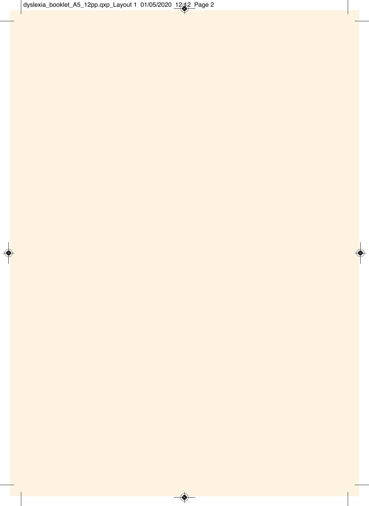dyslexia\_booklet\_A5\_12pp.qxp\_Layout 1 01/05/2020 12:12 Page 2

 $\bigcirc$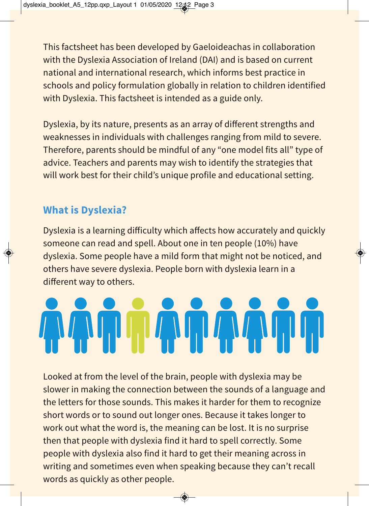This factsheet has been developed by Gaeloideachas in collaboration with the Dyslexia Association of Ireland (DAI) and is based on current national and international research, which informs best practice in schools and policy formulation globally in relation to children identified with Dyslexia. This factsheet is intended as a guide only.

Dyslexia, by its nature, presents as an array of different strengths and weaknesses in individuals with challenges ranging from mild to severe. Therefore, parents should be mindful of any "one model fits all" type of advice. Teachers and parents may wish to identify the strategies that will work best for their child's unique profile and educational setting.

## **What is Dyslexia?**

Dyslexia is a learning difficulty which affects how accurately and quickly someone can read and spell. About one in ten people (10%) have dyslexia. Some people have a mild form that might not be noticed, and others have severe dyslexia. People born with dyslexia learn in a different way to others.

Looked at from the level of the brain, people with dyslexia may be slower in making the connection between the sounds of a language and the letters for those sounds. This makes it harder for them to recognize short words or to sound out longer ones. Because it takes longer to work out what the word is, the meaning can be lost. It is no surprise then that people with dyslexia find it hard to spell correctly. Some people with dyslexia also find it hard to get their meaning across in writing and sometimes even when speaking because they can't recall words as quickly as other people.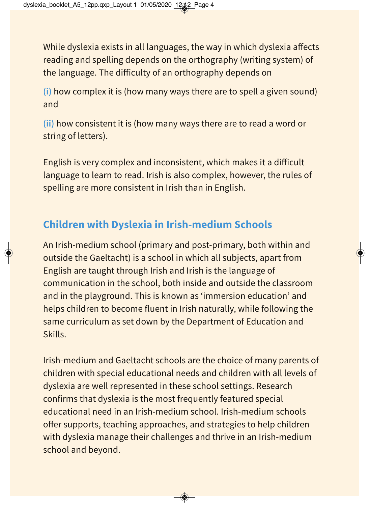While dyslexia exists in all languages, the way in which dyslexia affects reading and spelling depends on the orthography (writing system) of the language. The difficulty of an orthography depends on

**(i)** how complex it is (how many ways there are to spell a given sound) and

**(ii)** how consistent it is (how many ways there are to read a word or string of letters).

English is very complex and inconsistent, which makes it a difficult language to learn to read. Irish is also complex, however, the rules of spelling are more consistent in Irish than in English.

## **Children with Dyslexia in Irish-medium Schools**

An Irish-medium school (primary and post-primary, both within and outside the Gaeltacht) is a school in which all subjects, apart from English are taught through Irish and Irish is the language of communication in the school, both inside and outside the classroom and in the playground. This is known as 'immersion education' and helps children to become fluent in Irish naturally, while following the same curriculum as set down by the Department of Education and Skills.

Irish-medium and Gaeltacht schools are the choice of many parents of children with special educational needs and children with all levels of dyslexia are well represented in these school settings. Research confirms that dyslexia is the most frequently featured special educational need in an Irish-medium school. Irish-medium schools offer supports, teaching approaches, and strategies to help children with dyslexia manage their challenges and thrive in an Irish-medium school and beyond.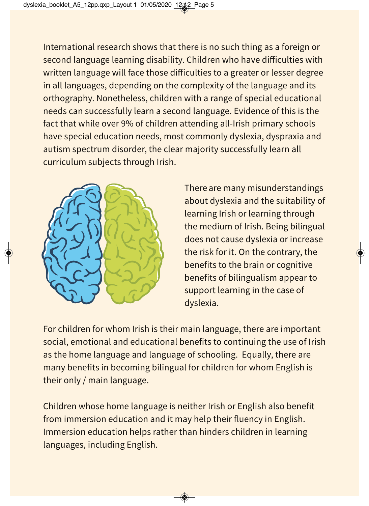International research shows that there is no such thing as a foreign or second language learning disability. Children who have difficulties with written language will face those difficulties to a greater or lesser degree in all languages, depending on the complexity of the language and its orthography. Nonetheless, children with a range of special educational needs can successfully learn a second language. Evidence of this is the fact that while over 9% of children attending all-Irish primary schools have special education needs, most commonly dyslexia, dyspraxia and autism spectrum disorder, the clear majority successfully learn all curriculum subjects through Irish.



There are many misunderstandings about dyslexia and the suitability of learning Irish or learning through the medium of Irish. Being bilingual does not cause dyslexia or increase the risk for it. On the contrary, the benefits to the brain or cognitive benefits of bilingualism appear to support learning in the case of dyslexia.

For children for whom Irish is their main language, there are important social, emotional and educational benefits to continuing the use of Irish as the home language and language of schooling. Equally, there are many benefits in becoming bilingual for children for whom English is their only / main language.

Children whose home language is neither Irish or English also benefit from immersion education and it may help their fluency in English. Immersion education helps rather than hinders children in learning languages, including English.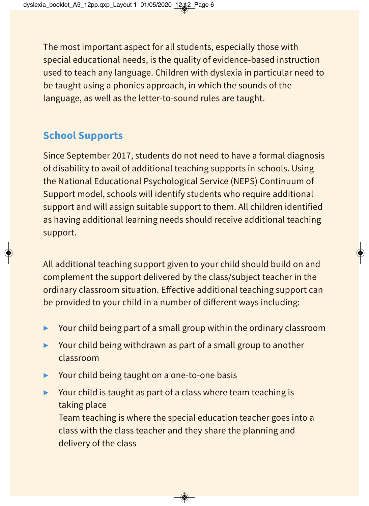The most important aspect for all students, especially those with special educational needs, is the quality of evidence-based instruction used to teach any language. Children with dyslexia in particular need to be taught using a phonics approach, in which the sounds of the language, as well as the letter-to-sound rules are taught.

## **School Supports**

Since September 2017, students do not need to have a formal diagnosis of disability to avail of additional teaching supports in schools. Using the National Educational Psychological Service (NEPS) Continuum of Support model, schools will identify students who require additional support and will assign suitable support to them. All children identified as having additional learning needs should receive additional teaching support.

All additional teaching support given to your child should build on and complement the support delivered by the class/subject teacher in the ordinary classroom situation. Effective additional teaching support can be provided to your child in a number of different ways including:

- Your child being part of a small group within the ordinary classroom
- Your child being withdrawn as part of a small group to another classroom
- Your child being taught on a one-to-one basis
- ▶ Your child is taught as part of a class where team teaching is taking place Team teaching is where the special education teacher goes into a class with the class teacher and they share the planning and delivery of the class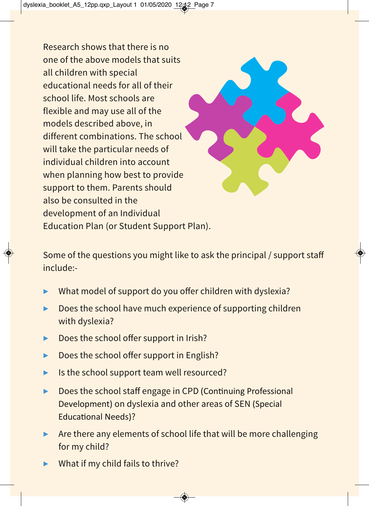dyslexia\_booklet\_A5\_12pp.qxp\_Layout 1 01/05/2020 12:12 Page 7

Research shows that there is no one of the above models that suits all children with special educational needs for all of their school life. Most schools are flexible and may use all of the models described above, in different combinations. The school will take the particular needs of individual children into account when planning how best to provide support to them. Parents should also be consulted in the development of an Individual Education Plan (or Student Support Plan).

Some of the questions you might like to ask the principal / support staff include:-

- What model of support do you offer children with dyslexia?
- Does the school have much experience of supporting children with dyslexia?
- ▶ Does the school offer support in Irish?
- ▶ Does the school offer support in English?
- Is the school support team well resourced?
- ▶ Does the school staff engage in CPD (Continuing Professional Development) on dyslexia and other areas of SEN (Special Educational Needs)?
- $\triangleright$  Are there any elements of school life that will be more challenging for my child?
- What if my child fails to thrive?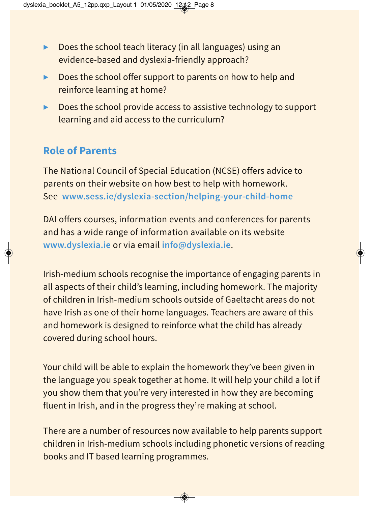- ▶ Does the school teach literacy (in all languages) using an evidence-based and dyslexia-friendly approach?
- ▶ Does the school offer support to parents on how to help and reinforce learning at home?
- $\triangleright$  Does the school provide access to assistive technology to support learning and aid access to the curriculum?

#### **Role of Parents**

The National Council of Special Education (NCSE) offers advice to parents on their website on how best to help with homework. See **www.sess.ie/dyslexia-section/helping-your-child-home**

DAI offers courses, information events and conferences for parents and has a wide range of information available on its website **www.dyslexia.ie** or via email **info@dyslexia.ie**.

Irish-medium schools recognise the importance of engaging parents in all aspects of their child's learning, including homework. The majority of children in Irish-medium schools outside of Gaeltacht areas do not have Irish as one of their home languages. Teachers are aware of this and homework is designed to reinforce what the child has already covered during school hours.

Your child will be able to explain the homework they've been given in the language you speak together at home. It will help your child a lot if you show them that you're very interested in how they are becoming fluent in Irish, and in the progress they're making at school.

There are a number of resources now available to help parents support children in Irish-medium schools including phonetic versions of reading books and IT based learning programmes.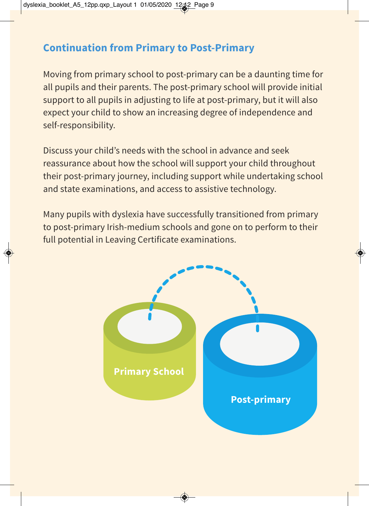## **Continuation from Primary to Post-Primary**

Moving from primary school to post-primary can be a daunting time for all pupils and their parents. The post-primary school will provide initial support to all pupils in adjusting to life at post-primary, but it will also expect your child to show an increasing degree of independence and self-responsibility.

Discuss your child's needs with the school in advance and seek reassurance about how the school will support your child throughout their post-primary journey, including support while undertaking school and state examinations, and access to assistive technology.

Many pupils with dyslexia have successfully transitioned from primary to post-primary Irish-medium schools and gone on to perform to their full potential in Leaving Certificate examinations.

**Primary School** 

**Post-primary**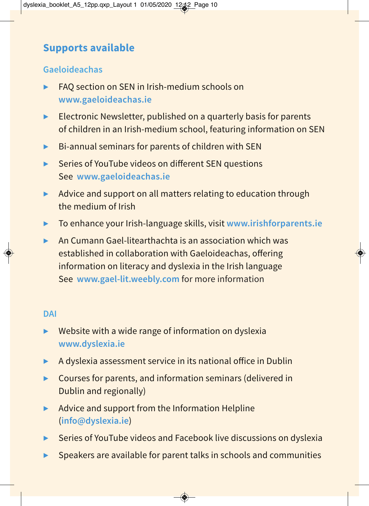# **Supports available**

#### **Gaeloideachas**

- FAQ section on SEN in Irish-medium schools on **www.gaeloideachas.ie**
- $\blacktriangleright$  Electronic Newsletter, published on a quarterly basis for parents of children in an Irish-medium school, featuring information on SEN
- ▶ Bi-annual seminars for parents of children with SEN
- Series of YouTube videos on different SEN questions See **www.gaeloideachas.ie**
- ▶ Advice and support on all matters relating to education through the medium of Irish
- ▶ To enhance your Irish-language skills, visit **www.irishforparents.ie**
- ▶ An Cumann Gael-litearthachta is an association which was established in collaboration with Gaeloideachas, offering information on literacy and dyslexia in the Irish language See **www.gael-lit.weebly.com** for more information

#### **DAI**

- ▶ Website with a wide range of information on dyslexia **www.dyslexia.ie**
- ▶ A dyslexia assessment service in its national office in Dublin
- ▶ Courses for parents, and information seminars (delivered in Dublin and regionally)
- ▶ Advice and support from the Information Helpline (**info@dyslexia.ie**)
- Series of YouTube videos and Facebook live discussions on dyslexia
- Speakers are available for parent talks in schools and communities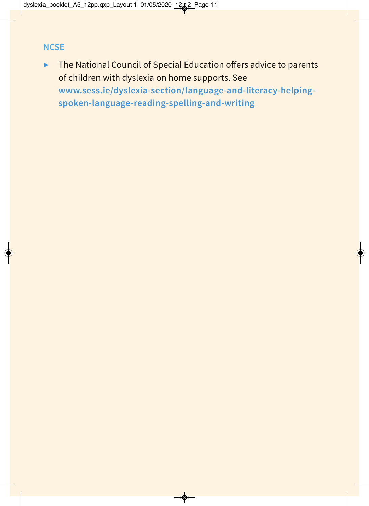#### **NCSE**

▶ The National Council of Special Education offers advice to parents of children with dyslexia on home supports. See **www.sess.ie/dyslexia-section/language-and-literacy-helping spoken-language-reading-spelling-and-writing**